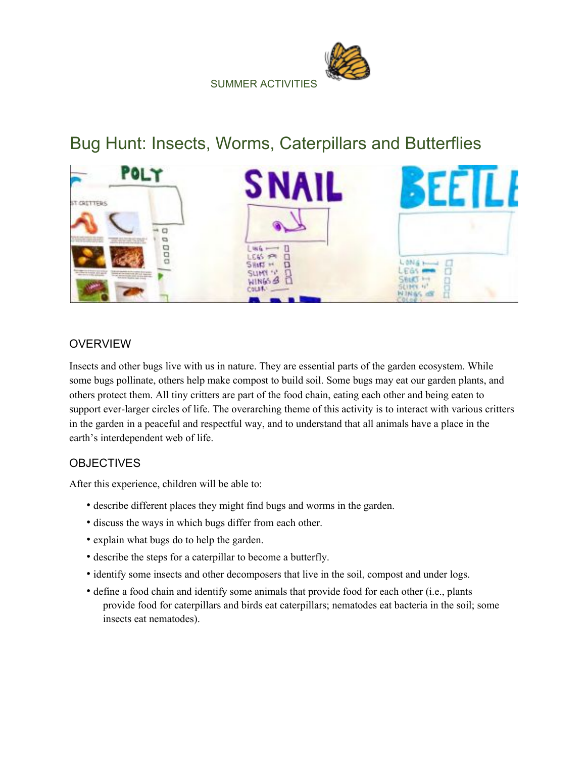SUMMER ACTIVITIES

# Bug Hunt: Insects, Worms, Caterpillars and Butterflies



## OVERVIEW

Insects and other bugs live with us in nature. They are essential parts of the garden ecosystem. While some bugs pollinate, others help make compost to build soil. Some bugs may eat our garden plants, and others protect them. All tiny critters are part of the food chain, eating each other and being eaten to support ever-larger circles of life. The overarching theme of this activity is to interact with various critters in the garden in a peaceful and respectful way, and to understand that all animals have a place in the earth's interdependent web of life.

# **OBJECTIVES**

After this experience, children will be able to:

- describe different places they might find bugs and worms in the garden.
- discuss the ways in which bugs differ from each other.
- explain what bugs do to help the garden.
- describe the steps for a caterpillar to become a butterfly.
- identify some insects and other decomposers that live in the soil, compost and under logs.
- define a food chain and identify some animals that provide food for each other (i.e., plants provide food for caterpillars and birds eat caterpillars; nematodes eat bacteria in the soil; some insects eat nematodes).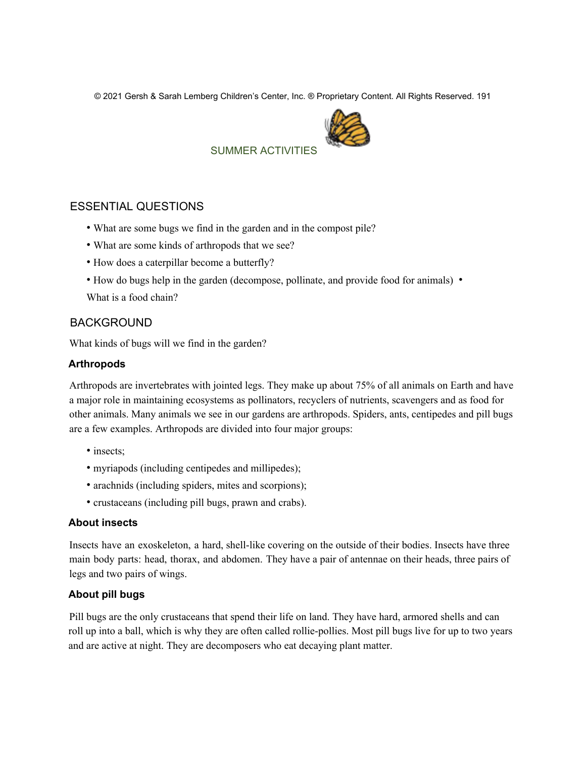© 2021 Gersh & Sarah Lemberg Children's Center, Inc. ® Proprietary Content. All Rights Reserved. 191



# SUMMER ACTIVITIES

#### ESSENTIAL QUESTIONS

- What are some bugs we find in the garden and in the compost pile?
- What are some kinds of arthropods that we see?
- How does a caterpillar become a butterfly?
- How do bugs help in the garden (decompose, pollinate, and provide food for animals) •

What is a food chain?

#### BACKGROUND

What kinds of bugs will we find in the garden?

#### **Arthropods**

Arthropods are invertebrates with jointed legs. They make up about 75% of all animals on Earth and have a major role in maintaining ecosystems as pollinators, recyclers of nutrients, scavengers and as food for other animals. Many animals we see in our gardens are arthropods. Spiders, ants, centipedes and pill bugs are a few examples. Arthropods are divided into four major groups:

- insects:
- myriapods (including centipedes and millipedes);
- arachnids (including spiders, mites and scorpions);
- crustaceans (including pill bugs, prawn and crabs).

#### **About insects**

Insects have an exoskeleton, a hard, shell-like covering on the outside of their bodies. Insects have three main body parts: head, thorax, and abdomen. They have a pair of antennae on their heads, three pairs of legs and two pairs of wings.

#### **About pill bugs**

Pill bugs are the only crustaceans that spend their life on land. They have hard, armored shells and can roll up into a ball, which is why they are often called rollie-pollies. Most pill bugs live for up to two years and are active at night. They are decomposers who eat decaying plant matter.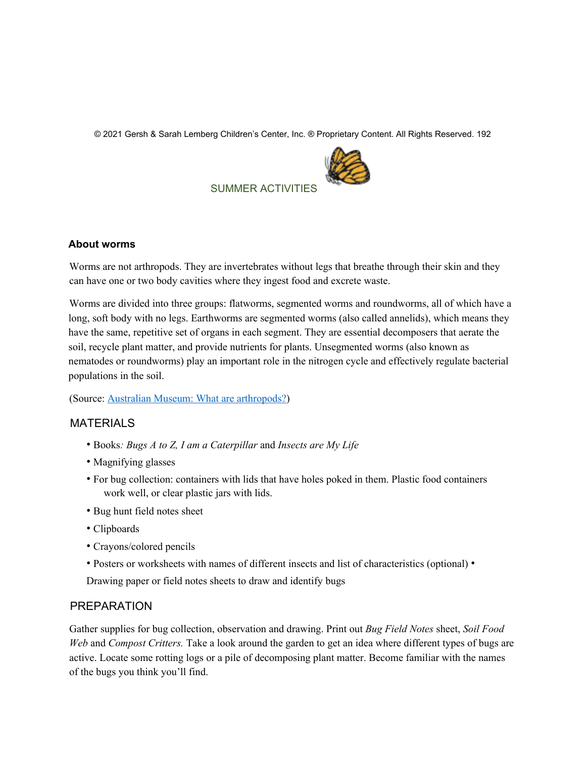© 2021 Gersh & Sarah Lemberg Children's Center, Inc. ® Proprietary Content. All Rights Reserved. 192



SUMMER ACTIVITIES

#### **About worms**

Worms are not arthropods. They are invertebrates without legs that breathe through their skin and they can have one or two body cavities where they ingest food and excrete waste.

Worms are divided into three groups: flatworms, segmented worms and roundworms, all of which have a long, soft body with no legs. Earthworms are segmented worms (also called annelids), which means they have the same, repetitive set of organs in each segment. They are essential decomposers that aerate the soil, recycle plant matter, and provide nutrients for plants. Unsegmented worms (also known as nematodes or roundworms) play an important role in the nitrogen cycle and effectively regulate bacterial populations in the soil.

(Source: Australian Museum: What are arthropods?)

#### MATERIALS

- Books*: Bugs A to Z, I am a Caterpillar* and *Insects are My Life*
- Magnifying glasses
- For bug collection: containers with lids that have holes poked in them. Plastic food containers work well, or clear plastic jars with lids.
- Bug hunt field notes sheet
- Clipboards
- Crayons/colored pencils
- Posters or worksheets with names of different insects and list of characteristics (optional) •

Drawing paper or field notes sheets to draw and identify bugs

#### PREPARATION

Gather supplies for bug collection, observation and drawing. Print out *Bug Field Notes* sheet, *Soil Food Web* and *Compost Critters.* Take a look around the garden to get an idea where different types of bugs are active. Locate some rotting logs or a pile of decomposing plant matter. Become familiar with the names of the bugs you think you'll find.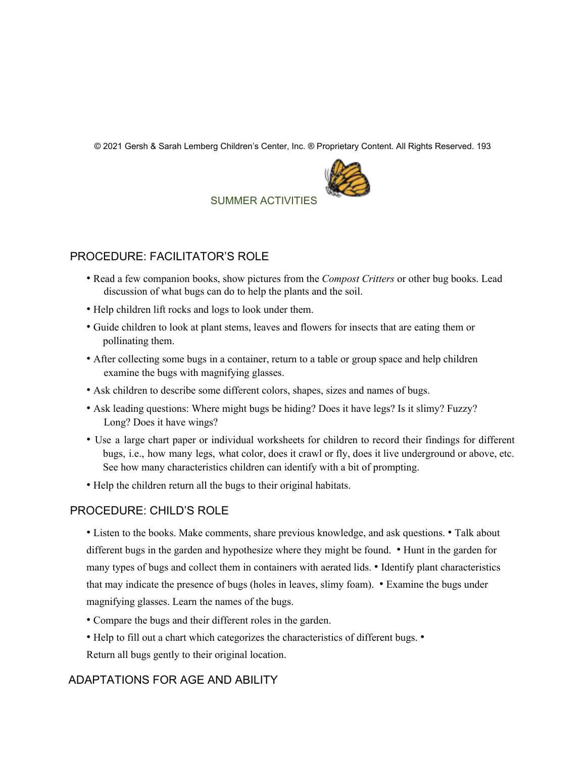© 2021 Gersh & Sarah Lemberg Children's Center, Inc. ® Proprietary Content. All Rights Reserved. 193



## SUMMER ACTIVITIES

## PROCEDURE: FACILITATOR'S ROLE

- Read a few companion books, show pictures from the *Compost Critters* or other bug books. Lead discussion of what bugs can do to help the plants and the soil.
- Help children lift rocks and logs to look under them.
- Guide children to look at plant stems, leaves and flowers for insects that are eating them or pollinating them.
- After collecting some bugs in a container, return to a table or group space and help children examine the bugs with magnifying glasses.
- Ask children to describe some different colors, shapes, sizes and names of bugs.
- Ask leading questions: Where might bugs be hiding? Does it have legs? Is it slimy? Fuzzy? Long? Does it have wings?
- Use a large chart paper or individual worksheets for children to record their findings for different bugs, i.e., how many legs, what color, does it crawl or fly, does it live underground or above, etc. See how many characteristics children can identify with a bit of prompting.
- Help the children return all the bugs to their original habitats.

## PROCEDURE: CHILD'S ROLE

• Listen to the books. Make comments, share previous knowledge, and ask questions. • Talk about different bugs in the garden and hypothesize where they might be found. • Hunt in the garden for many types of bugs and collect them in containers with aerated lids. • Identify plant characteristics that may indicate the presence of bugs (holes in leaves, slimy foam). • Examine the bugs under magnifying glasses. Learn the names of the bugs.

- Compare the bugs and their different roles in the garden.
- Help to fill out a chart which categorizes the characteristics of different bugs. Return all bugs gently to their original location.

# ADAPTATIONS FOR AGE AND ABILITY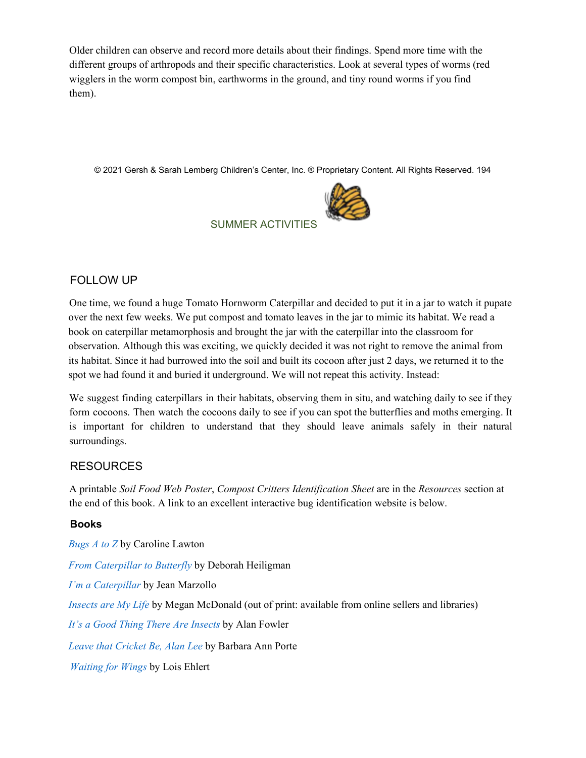Older children can observe and record more details about their findings. Spend more time with the different groups of arthropods and their specific characteristics. Look at several types of worms (red wigglers in the worm compost bin, earthworms in the ground, and tiny round worms if you find them).

© 2021 Gersh & Sarah Lemberg Children's Center, Inc. ® Proprietary Content. All Rights Reserved. 194



# SUMMER ACTIVITIES

# FOLLOW UP

One time, we found a huge Tomato Hornworm Caterpillar and decided to put it in a jar to watch it pupate over the next few weeks. We put compost and tomato leaves in the jar to mimic its habitat. We read a book on caterpillar metamorphosis and brought the jar with the caterpillar into the classroom for observation. Although this was exciting, we quickly decided it was not right to remove the animal from its habitat. Since it had burrowed into the soil and built its cocoon after just 2 days, we returned it to the spot we had found it and buried it underground. We will not repeat this activity. Instead:

We suggest finding caterpillars in their habitats, observing them in situ, and watching daily to see if they form cocoons. Then watch the cocoons daily to see if you can spot the butterflies and moths emerging. It is important for children to understand that they should leave animals safely in their natural surroundings.

## RESOURCES

A printable *Soil Food Web Poster*, *Compost Critters Identification Sheet* are in the *Resources* section at the end of this book. A link to an excellent interactive bug identification website is below.

## **Books**

*Bugs A to Z* by Caroline Lawton

*From Caterpillar to Butterfly* by Deborah Heiligman

*I'm a Caterpillar* by Jean Marzollo

*Insects are My Life* by Megan McDonald (out of print: available from online sellers and libraries)

*It's a Good Thing There Are Insects* by Alan Fowler

*Leave that Cricket Be, Alan Lee* by Barbara Ann Porte

*Waiting for Wings* by Lois Ehlert